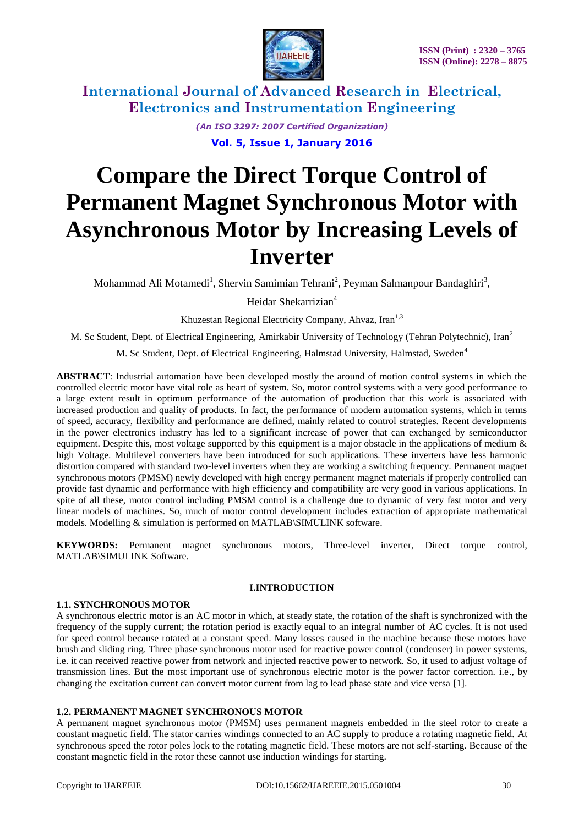

> *(An ISO 3297: 2007 Certified Organization)* **Vol. 5, Issue 1, January 2016**

# **Compare the Direct Torque Control of Permanent Magnet Synchronous Motor with Asynchronous Motor by Increasing Levels of Inverter**

Mohammad Ali Motamedi<sup>1</sup>, Shervin Samimian Tehrani<sup>2</sup>, Peyman Salmanpour Bandaghiri<sup>3</sup>,

Heidar Shekarrizian 4

Khuzestan Regional Electricity Company, Ahvaz, Iran<sup>1,3</sup>

M. Sc Student, Dept. of Electrical Engineering, Amirkabir University of Technology (Tehran Polytechnic), Iran<sup>2</sup>

M. Sc Student, Dept. of Electrical Engineering, Halmstad University, Halmstad, Sweden<sup>4</sup>

**ABSTRACT**: Industrial automation have been developed mostly the around of motion control systems in which the controlled electric motor have vital role as heart of system. So, motor control systems with a very good performance to a large extent result in optimum performance of the automation of production that this work is associated with increased production and quality of products. In fact, the performance of modern automation systems, which in terms of speed, accuracy, flexibility and performance are defined, mainly related to control strategies. Recent developments in the power electronics industry has led to a significant increase of power that can exchanged by semiconductor equipment. Despite this, most voltage supported by this equipment is a major obstacle in the applications of medium  $\&$ high Voltage. Multilevel converters have been introduced for such applications. These inverters have less harmonic distortion compared with standard two-level inverters when they are working a switching frequency. Permanent magnet synchronous motors (PMSM) newly developed with high energy permanent magnet materials if properly controlled can provide fast dynamic and performance with high efficiency and compatibility are very good in various applications. In spite of all these, motor control including PMSM control is a challenge due to dynamic of very fast motor and very linear models of machines. So, much of motor control development includes extraction of appropriate mathematical models. Modelling & simulation is performed on MATLAB\SIMULINK software.

**KEYWORDS:** Permanent magnet synchronous motors, Three-level inverter, Direct torque control, MATLAB\SIMULINK Software.

### **I.INTRODUCTION**

### **1.1. SYNCHRONOUS MOTOR**

A synchronous electric motor is an [AC motor](https://en.wikipedia.org/wiki/AC_motor) in which, at [steady state,](https://en.wikipedia.org/wiki/Steady_state) the rotation of the shaft is synchronized with the [frequency of the supply current;](https://en.wikipedia.org/wiki/Utility_frequency) the rotation period is exactly equal to an integral number of [AC](https://en.wikipedia.org/wiki/Alternating_current) cycles. It is not used for speed control because rotated at a constant speed. Many losses caused in the machine because these motors have brush and sliding ring. Three phase synchronous motor used for reactive power control (condenser) in power systems, i.e. it can received reactive power from network and injected reactive power to network. So, it used to adjust voltage of transmission lines. But the most important use of synchronous electric motor is the power factor correction. i.e., by changing the excitation current can convert motor current from lag to lead phase state and vice versa [1].

### **1.2. PERMANENT MAGNET SYNCHRONOUS MOTOR**

A permanent magnet synchronous motor (PMSM) uses [permanent magnets](https://en.wikipedia.org/wiki/Permanent_magnet) embedded in the steel rotor to create a constant magnetic field. The stator carries windings connected to an AC supply to produce a rotating magnetic field. At synchronous speed the rotor poles lock to the rotating magnetic field. These motors are not self-starting. Because of the constant magnetic field in the rotor these cannot use induction windings for starting.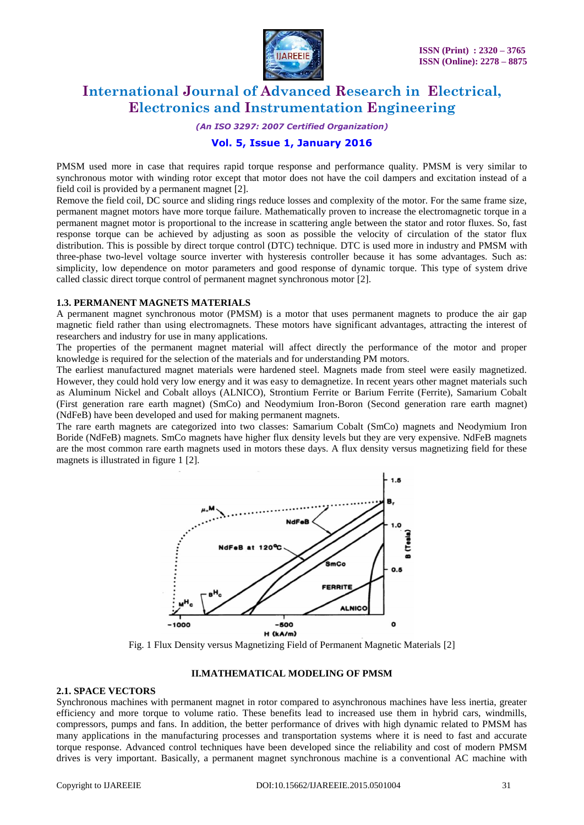

*(An ISO 3297: 2007 Certified Organization)*

### **Vol. 5, Issue 1, January 2016**

PMSM used more in case that requires rapid torque response and performance quality. PMSM is very similar to synchronous motor with winding rotor except that motor does not have the coil dampers and excitation instead of a field coil is provided by a permanent magnet [2].

Remove the field coil, DC source and sliding rings reduce losses and complexity of the motor. For the same frame size, permanent magnet motors have more torque failure. Mathematically proven to increase the electromagnetic torque in a permanent magnet motor is proportional to the increase in scattering angle between the stator and rotor fluxes. So, fast response torque can be achieved by adjusting as soon as possible the velocity of circulation of the stator flux distribution. This is possible by direct torque control (DTC) technique. DTC is used more in industry and PMSM with three-phase two-level voltage source inverter with hysteresis controller because it has some advantages. Such as: simplicity, low dependence on motor parameters and good response of dynamic torque. This type of system drive called classic direct torque control of permanent magnet synchronous motor [2].

### **1.3. PERMANENT MAGNETS MATERIALS**

A permanent magnet synchronous motor (PMSM) is a motor that uses permanent magnets to produce the air gap magnetic field rather than using electromagnets. These motors have significant advantages, attracting the interest of researchers and industry for use in many applications.

The properties of the permanent magnet material will affect directly the performance of the motor and proper knowledge is required for the selection of the materials and for understanding PM motors.

The earliest manufactured magnet materials were hardened steel. Magnets made from steel were easily magnetized. However, they could hold very low energy and it was easy to demagnetize. In recent years other magnet materials such as Aluminum Nickel and Cobalt alloys (ALNICO), Strontium Ferrite or Barium Ferrite (Ferrite), Samarium Cobalt (First generation rare earth magnet) (SmCo) and Neodymium Iron-Boron (Second generation rare earth magnet) (NdFeB) have been developed and used for making permanent magnets.

The rare earth magnets are categorized into two classes: Samarium Cobalt (SmCo) magnets and Neodymium Iron Boride (NdFeB) magnets. SmCo magnets have higher flux density levels but they are very expensive. NdFeB magnets are the most common rare earth magnets used in motors these days. A flux density versus magnetizing field for these magnets is illustrated in figure 1 [2].



Fig. 1 Flux Density versus Magnetizing Field of Permanent Magnetic Materials [2]

### **II.MATHEMATICAL MODELING OF PMSM**

### **2.1. SPACE VECTORS**

Synchronous machines with permanent magnet in rotor compared to asynchronous machines have less inertia, greater efficiency and more torque to volume ratio. These benefits lead to increased use them in hybrid cars, windmills, compressors, pumps and fans. In addition, the better performance of drives with high dynamic related to PMSM has many applications in the manufacturing processes and transportation systems where it is need to fast and accurate torque response. Advanced control techniques have been developed since the reliability and cost of modern PMSM drives is very important. Basically, a permanent magnet synchronous machine is a conventional AC machine with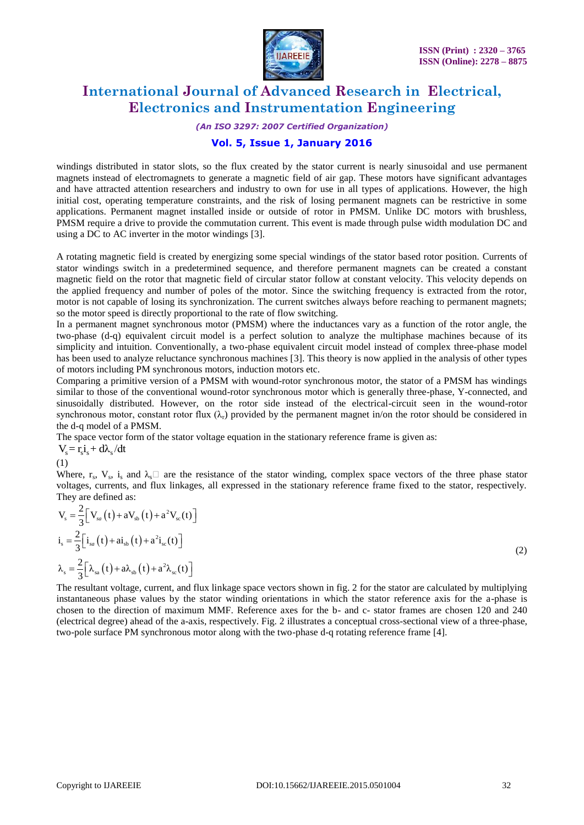

*(An ISO 3297: 2007 Certified Organization)*

# **Vol. 5, Issue 1, January 2016**

windings distributed in stator slots, so the flux created by the stator current is nearly sinusoidal and use permanent magnets instead of electromagnets to generate a magnetic field of air gap. These motors have significant advantages and have attracted attention researchers and industry to own for use in all types of applications. However, the high initial cost, operating temperature constraints, and the risk of losing permanent magnets can be restrictive in some applications. Permanent magnet installed inside or outside of rotor in PMSM. Unlike DC motors with brushless, PMSM require a drive to provide the commutation current. This event is made through pulse width modulation DC and using a DC to AC inverter in the motor windings [3].

A rotating magnetic field is created by energizing some special windings of the stator based rotor position. Currents of stator windings switch in a predetermined sequence, and therefore permanent magnets can be created a constant magnetic field on the rotor that magnetic field of circular stator follow at constant velocity. This velocity depends on the applied frequency and number of poles of the motor. Since the switching frequency is extracted from the rotor, motor is not capable of losing its synchronization. The current switches always before reaching to permanent magnets; so the motor speed is directly proportional to the rate of flow switching.

In a permanent magnet synchronous motor (PMSM) where the inductances vary as a function of the rotor angle, the two-phase (d-q) equivalent circuit model is a perfect solution to analyze the multiphase machines because of its simplicity and intuition. Conventionally, a two-phase equivalent circuit model instead of complex three-phase model has been used to analyze reluctance synchronous machines [3]. This theory is now applied in the analysis of other types of motors including PM synchronous motors, induction motors etc.

Comparing a primitive version of a PMSM with wound-rotor synchronous motor, the stator of a PMSM has windings similar to those of the conventional wound-rotor synchronous motor which is generally three-phase, Y-connected, and sinusoidally distributed. However, on the rotor side instead of the electrical-circuit seen in the wound-rotor synchronous motor, constant rotor flux  $(\lambda_r)$  provided by the permanent magnet in/on the rotor should be considered in the d-q model of a PMSM.

The space vector form of the stator voltage equation in the stationary reference frame is given as:

 $V_s = r_s i_s + d\lambda_s /dt$ 

(1)

Where,  $r_s$ ,  $V_s$ ,  $i_s$  and  $\lambda_s \Box$  are the resistance of the stator winding, complex space vectors of the three phase stator voltages, currents, and flux linkages, all expressed in the stationary reference frame fixed to the stator, respectively. They are defined as:

$$
V_s = \frac{2}{3} \Big[ V_{sa}(t) + aV_{sb}(t) + a^2V_{sc}(t) \Big]
$$
  
\n
$$
i_s = \frac{2}{3} \Big[ i_{sa}(t) + ai_{sb}(t) + a^2i_{sc}(t) \Big]
$$
  
\n
$$
\lambda_s = \frac{2}{3} \Big[ \lambda_{sa}(t) + a\lambda_{sb}(t) + a^2\lambda_{sc}(t) \Big]
$$
\n(2)

The resultant voltage, current, and flux linkage space vectors shown in fig. 2 for the stator are calculated by multiplying instantaneous phase values by the stator winding orientations in which the stator reference axis for the a-phase is chosen to the direction of maximum MMF. Reference axes for the b- and c- stator frames are chosen 120 and 240 (electrical degree) ahead of the a-axis, respectively. Fig. 2 illustrates a conceptual cross-sectional view of a three-phase, two-pole surface PM synchronous motor along with the two-phase d-q rotating reference frame [4].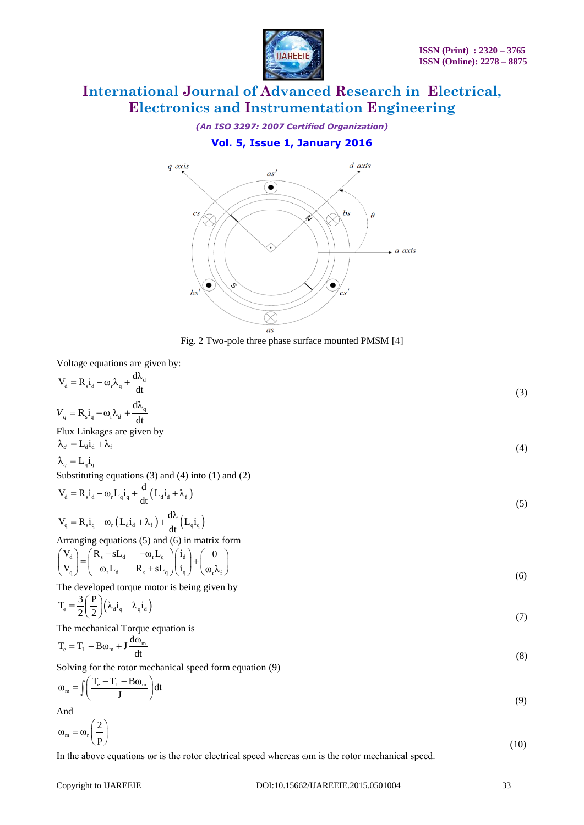

*(An ISO 3297: 2007 Certified Organization)*

# **Vol. 5, Issue 1, January 2016**



Fig. 2 Two-pole three phase surface mounted PMSM [4]

Voltage equations are given by:

| $V_d = R_s i_d - \omega_r \lambda_q + \frac{d\lambda_d}{dt}$                                                                                                                                                              | (3) |
|---------------------------------------------------------------------------------------------------------------------------------------------------------------------------------------------------------------------------|-----|
| $V_q = R_s \dot{I}_q - \omega_r \lambda_d + \frac{d\lambda_q}{dt}$                                                                                                                                                        |     |
| Flux Linkages are given by                                                                                                                                                                                                |     |
| $\lambda_d = L_d i_d + \lambda_f$                                                                                                                                                                                         | (4) |
| $\lambda_a = \mathbf{L}_a \mathbf{i}_a$                                                                                                                                                                                   |     |
| Substituting equations $(3)$ and $(4)$ into $(1)$ and $(2)$                                                                                                                                                               |     |
| $V_d = R_s \dot{i}_d - \omega_r L_q \dot{i}_q + \frac{d}{dt} (L_d \dot{i}_d + \lambda_f)$                                                                                                                                 | (5) |
| $V_q = R_s i_q - \omega_r (L_d i_d + \lambda_f) + \frac{d\lambda}{dt} (L_q i_q)$                                                                                                                                          |     |
| Arranging equations $(5)$ and $(6)$ in matrix form                                                                                                                                                                        |     |
| $\begin{pmatrix} V_d \\ V_s \end{pmatrix} = \begin{pmatrix} R_s + sL_d & -\omega_r L_q \\ \omega_r L_s & R_s + sL_s \end{pmatrix} \begin{pmatrix} i_d \\ i_s \end{pmatrix} + \begin{pmatrix} 0 \\ \omega_r \end{pmatrix}$ | (6) |
| The developed torque motor is being given by                                                                                                                                                                              |     |
| $T_e = \frac{3}{2} \left( \frac{P}{2} \right) \left( \lambda_d i_q - \lambda_q i_d \right)$                                                                                                                               | (7) |
| The mechanical Torque equation is                                                                                                                                                                                         |     |
| $T_e = T_L + B\omega_m + J \frac{d\omega_m}{dt}$                                                                                                                                                                          | (8) |
| Solving for the rotor mechanical speed form equation (9)                                                                                                                                                                  |     |

 $\omega_{\rm m} = \int \left( \frac{T_{\rm e} - T_{\rm L} - B \omega_{\rm m}}{J} \right) dt$  $(T_e - T_L - B\omega_m)_{dt}$  $=\iint \left( \frac{I_e - I_L - B\omega_m}{J} \right) dt$  (9) And

$$
\omega_{\rm m} = \omega_{\rm r} \left( \frac{2}{p} \right) \tag{10}
$$

In the above equations ωr is the rotor electrical speed whereas ωm is the rotor mechanical speed.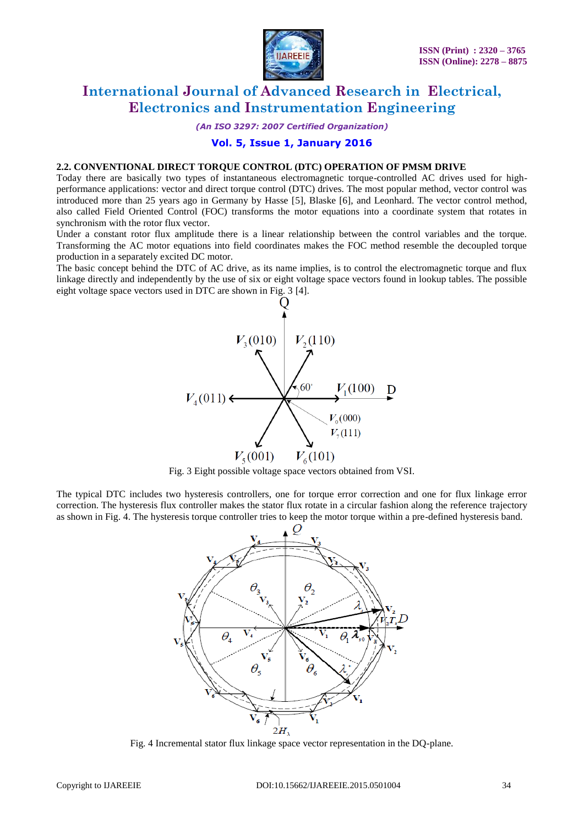

*(An ISO 3297: 2007 Certified Organization)*

### **Vol. 5, Issue 1, January 2016**

#### **2.2. CONVENTIONAL DIRECT TORQUE CONTROL (DTC) OPERATION OF PMSM DRIVE**

Today there are basically two types of instantaneous electromagnetic torque-controlled AC drives used for highperformance applications: vector and direct torque control (DTC) drives. The most popular method, vector control was introduced more than 25 years ago in Germany by Hasse [5], Blaske [6], and Leonhard. The vector control method, also called Field Oriented Control (FOC) transforms the motor equations into a coordinate system that rotates in synchronism with the rotor flux vector.

Under a constant rotor flux amplitude there is a linear relationship between the control variables and the torque. Transforming the AC motor equations into field coordinates makes the FOC method resemble the decoupled torque production in a separately excited DC motor.

The basic concept behind the DTC of AC drive, as its name implies, is to control the electromagnetic torque and flux linkage directly and independently by the use of six or eight voltage space vectors found in lookup tables. The possible eight voltage space vectors used in DTC are shown in Fig. 3 [4].



Fig. 3 Eight possible voltage space vectors obtained from VSI.

The typical DTC includes two hysteresis controllers, one for torque error correction and one for flux linkage error correction. The hysteresis flux controller makes the stator flux rotate in a circular fashion along the reference trajectory as shown in Fig. 4. The hysteresis torque controller tries to keep the motor torque within a pre-defined hysteresis band.



Fig. 4 Incremental stator flux linkage space vector representation in the DQ-plane.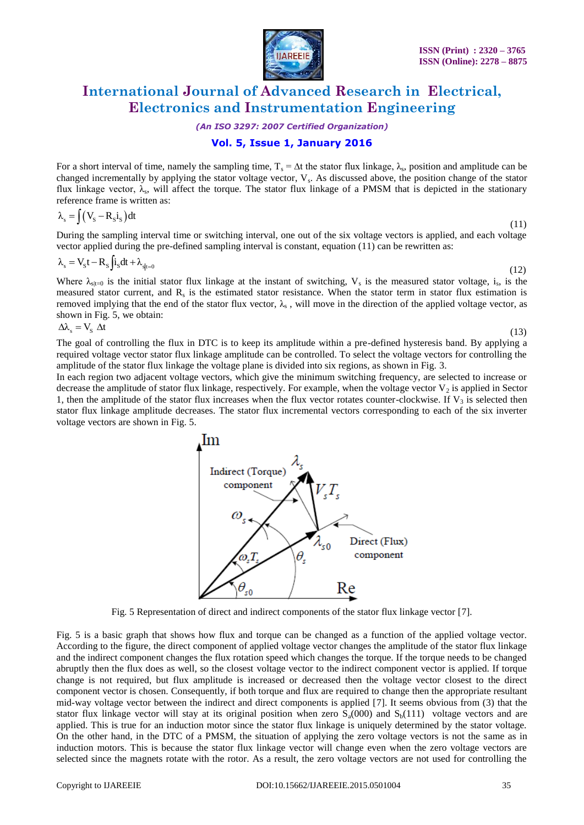

*(An ISO 3297: 2007 Certified Organization)*

# **Vol. 5, Issue 1, January 2016**

For a short interval of time, namely the sampling time,  $T_s = \Delta t$  the stator flux linkage,  $\lambda_s$ , position and amplitude can be changed incrementally by applying the stator voltage vector,  $V_s$ . As discussed above, the position change of the stator flux linkage vector,  $\lambda_s$ , will affect the torque. The stator flux linkage of a PMSM that is depicted in the stationary reference frame is written as:

$$
\lambda_{\rm s} = \int \left( V_{\rm s} - R_{\rm s} i_{\rm s} \right) dt \tag{11}
$$

During the sampling interval time or switching interval, one out of the six voltage vectors is applied, and each voltage vector applied during the pre-defined sampling interval is constant, equation (11) can be rewritten as:

$$
\lambda_{s} = V_{s}t - R_{s} \int i_{s}dt + \lambda_{s|t=0} \tag{12}
$$

Where  $\lambda_{s|t=0}$  is the initial stator flux linkage at the instant of switching,  $V_s$  is the measured stator voltage, i<sub>s</sub>, is the measured stator current, and  $R_s$  is the estimated stator resistance. When the stator term in stator flux estimation is removed implying that the end of the stator flux vector,  $\lambda_s$ , will move in the direction of the applied voltage vector, as shown in Fig. 5, we obtain:

$$
\Delta\lambda_{\rm s} = V_{\rm s} \Delta t \tag{13}
$$

The goal of controlling the flux in DTC is to keep its amplitude within a pre-defined hysteresis band. By applying a required voltage vector stator flux linkage amplitude can be controlled. To select the voltage vectors for controlling the amplitude of the stator flux linkage the voltage plane is divided into six regions, as shown in Fig. 3.

In each region two adjacent voltage vectors, which give the minimum switching frequency, are selected to increase or decrease the amplitude of stator flux linkage, respectively. For example, when the voltage vector  $V_2$  is applied in Sector 1, then the amplitude of the stator flux increases when the flux vector rotates counter-clockwise. If  $V_3$  is selected then stator flux linkage amplitude decreases. The stator flux incremental vectors corresponding to each of the six inverter voltage vectors are shown in Fig. 5.



Fig. 5 Representation of direct and indirect components of the stator flux linkage vector [7].

Fig. 5 is a basic graph that shows how flux and torque can be changed as a function of the applied voltage vector. According to the figure, the direct component of applied voltage vector changes the amplitude of the stator flux linkage and the indirect component changes the flux rotation speed which changes the torque. If the torque needs to be changed abruptly then the flux does as well, so the closest voltage vector to the indirect component vector is applied. If torque change is not required, but flux amplitude is increased or decreased then the voltage vector closest to the direct component vector is chosen. Consequently, if both torque and flux are required to change then the appropriate resultant mid-way voltage vector between the indirect and direct components is applied [7]. It seems obvious from (3) that the stator flux linkage vector will stay at its original position when zero  $S_a(000)$  and  $S_b(111)$  voltage vectors and are applied. This is true for an induction motor since the stator flux linkage is uniquely determined by the stator voltage. On the other hand, in the DTC of a PMSM, the situation of applying the zero voltage vectors is not the same as in induction motors. This is because the stator flux linkage vector will change even when the zero voltage vectors are selected since the magnets rotate with the rotor. As a result, the zero voltage vectors are not used for controlling the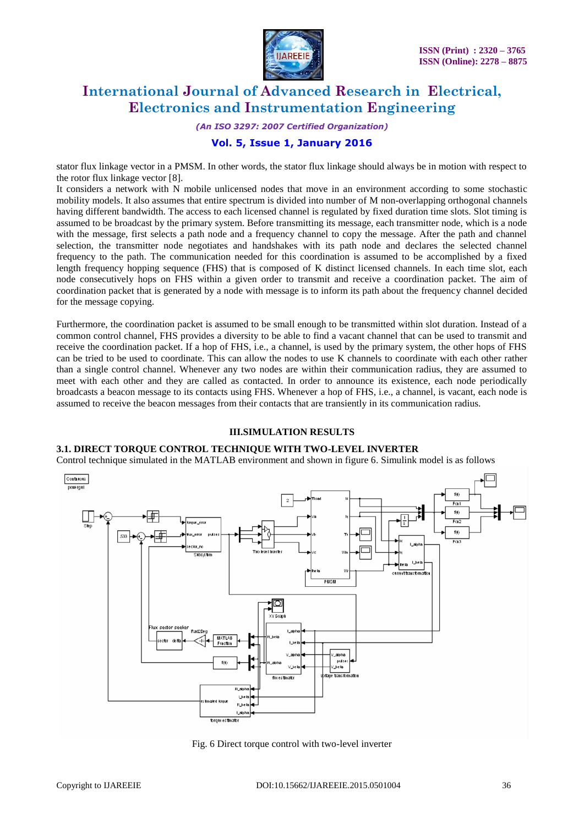

*(An ISO 3297: 2007 Certified Organization)*

# **Vol. 5, Issue 1, January 2016**

stator flux linkage vector in a PMSM. In other words, the stator flux linkage should always be in motion with respect to the rotor flux linkage vector [8].

It considers a network with N mobile unlicensed nodes that move in an environment according to some stochastic mobility models. It also assumes that entire spectrum is divided into number of M non-overlapping orthogonal channels having different bandwidth. The access to each licensed channel is regulated by fixed duration time slots. Slot timing is assumed to be broadcast by the primary system. Before transmitting its message, each transmitter node, which is a node with the message, first selects a path node and a frequency channel to copy the message. After the path and channel selection, the transmitter node negotiates and handshakes with its path node and declares the selected channel frequency to the path. The communication needed for this coordination is assumed to be accomplished by a fixed length frequency hopping sequence (FHS) that is composed of K distinct licensed channels. In each time slot, each node consecutively hops on FHS within a given order to transmit and receive a coordination packet. The aim of coordination packet that is generated by a node with message is to inform its path about the frequency channel decided for the message copying.

Furthermore, the coordination packet is assumed to be small enough to be transmitted within slot duration. Instead of a common control channel, FHS provides a diversity to be able to find a vacant channel that can be used to transmit and receive the coordination packet. If a hop of FHS, i.e., a channel, is used by the primary system, the other hops of FHS can be tried to be used to coordinate. This can allow the nodes to use K channels to coordinate with each other rather than a single control channel. Whenever any two nodes are within their communication radius, they are assumed to meet with each other and they are called as contacted. In order to announce its existence, each node periodically broadcasts a beacon message to its contacts using FHS. Whenever a hop of FHS, i.e., a channel, is vacant, each node is assumed to receive the beacon messages from their contacts that are transiently in its communication radius.

### **III.SIMULATION RESULTS**

#### **3.1. DIRECT TORQUE CONTROL TECHNIQUE WITH TWO-LEVEL INVERTER**

Control technique simulated in the MATLAB environment and shown in figure 6. Simulink model is as follows



Fig. 6 Direct torque control with two-level inverter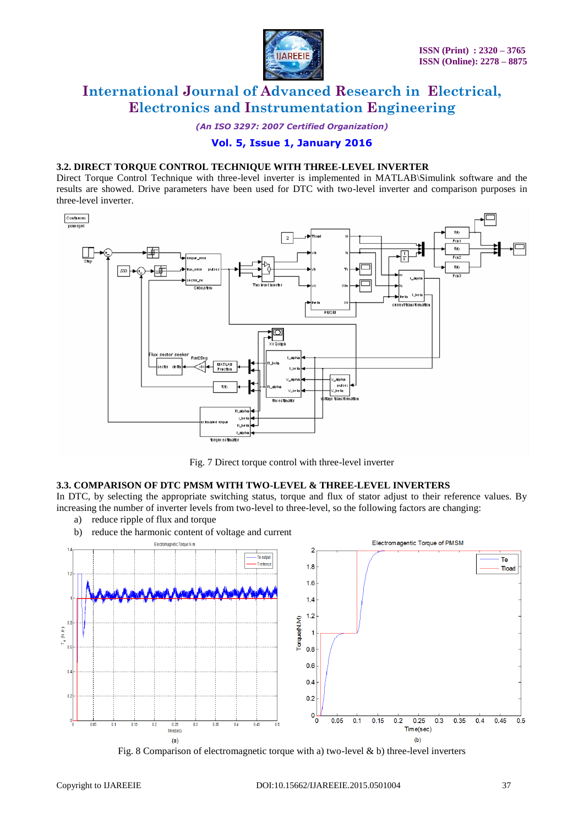

*(An ISO 3297: 2007 Certified Organization)*

## **Vol. 5, Issue 1, January 2016**

### **3.2. DIRECT TORQUE CONTROL TECHNIQUE WITH THREE-LEVEL INVERTER**

Direct Torque Control Technique with three-level inverter is implemented in MATLAB\Simulink software and the results are showed. Drive parameters have been used for DTC with two-level inverter and comparison purposes in three-level inverter.



Fig. 7 Direct torque control with three-level inverter

### **3.3. COMPARISON OF DTC PMSM WITH TWO-LEVEL & THREE-LEVEL INVERTERS**

In DTC, by selecting the appropriate switching status, torque and flux of stator adjust to their reference values. By increasing the number of inverter levels from two-level to three-level, so the following factors are changing:

- a) reduce ripple of flux and torque
- b) reduce the harmonic content of voltage and current



Fig. 8 Comparison of electromagnetic torque with a) two-level  $\&$  b) three-level inverters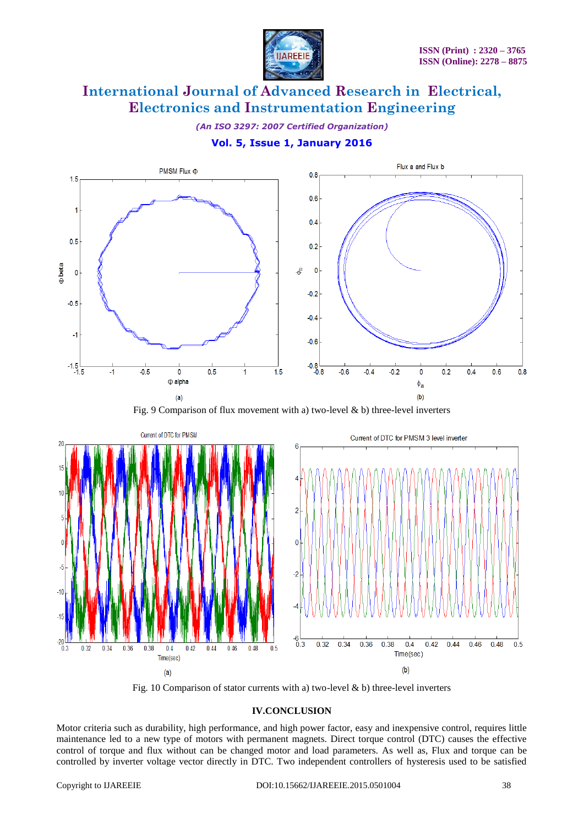

*(An ISO 3297: 2007 Certified Organization)*

# **Vol. 5, Issue 1, January 2016**



Fig. 9 Comparison of flux movement with a) two-level  $\&$  b) three-level inverters



Fig. 10 Comparison of stator currents with a) two-level  $\&$  b) three-level inverters

### **IV.CONCLUSION**

Motor criteria such as durability, high performance, and high power factor, easy and inexpensive control, requires little maintenance led to a new type of motors with permanent magnets. Direct torque control (DTC) causes the effective control of torque and flux without can be changed motor and load parameters. As well as, Flux and torque can be controlled by inverter voltage vector directly in DTC. Two independent controllers of hysteresis used to be satisfied